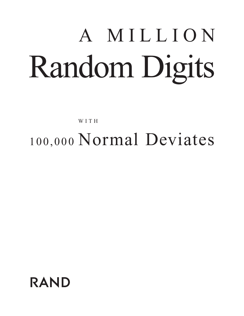## A MILLION Random Digits

WITH 100,000 Normal Deviates

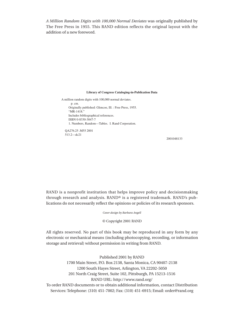*A Million Random Digits with 100,000 Normal Deviates* was originally published by The Free Press in 1955. This RAND edition reflects the original layout with the addition of a new foreword.

## **Library of Congress Cataloging-in-Publication Data**

A million random digits with 100,000 normal deviates. p. cm. Originally published: Glencoe, Ill. : Free Press, 1955. "MR-1418." Includes bibliographical references. ISBN 0-8330-3047-7 1. Numbers, Random—Tables. I. Rand Corporation.

QA276.25 .M55 2001 513.2—dc21

2001048133

RAND is a nonprofit institution that helps improve policy and decisionmaking through research and analysis. RAND® is a registered trademark. RAND's publications do not necessarily reflect the opinions or policies of its research sponsors.

*Cover design by Barbara Angell*

© Copyright 2001 RAND

All rights reserved. No part of this book may be reproduced in any form by any electronic or mechanical means (including photocopying, recording, or information storage and retrieval) without permission in writing from RAND.

Published 2001 by RAND 1700 Main Street, P.O. Box 2138, Santa Monica, CA 90407-2138 1200 South Hayes Street, Arlington, VA 22202-5050 201 North Craig Street, Suite 102, Pittsburgh, PA 15213-1516 RAND URL: http://www.rand.org/ To order RAND documents or to obtain additional information, contact Distribution Services: Telephone: (310) 451-7002; Fax: (310) 451-6915; Email: order@rand.org